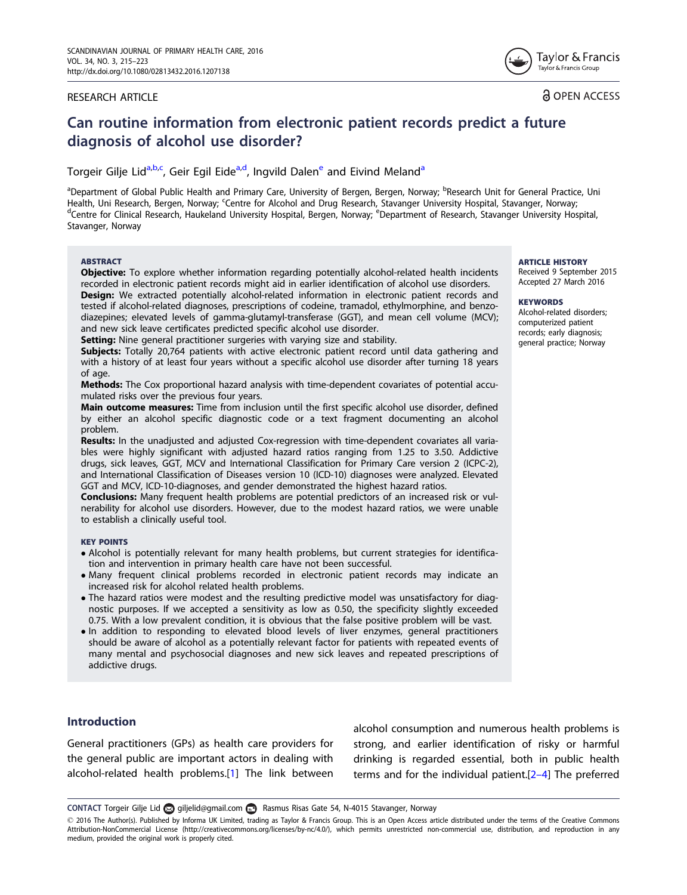#### <span id="page-0-0"></span>RESEARCH ARTICLE

Tavlor & Francis Taylor & Francis Group

**a** OPEN ACCESS

# Can routine information from electronic patient records predict a future diagnosis of alcohol use disorder?

Torgeir Gilje Lid<sup>a,b,c</sup>, Geir Egil Eide<sup>a,d</sup>, Ingvild Dalen<sup>e</sup> and Eivind Meland<sup>a</sup>

<sup>a</sup>Department of Global Public Health and Primary Care, University of Bergen, Bergen, Norway; <sup>b</sup>Research Unit for General Practice, Uni Health, Uni Research, Bergen, Norway; <sup>c</sup>Centre for Alcohol and Drug Research, Stavanger University Hospital, Stavanger, Norway; <sup>d</sup>Contre for Clinical Besearch, Haukeland University Hospital, Stavanger, Norway; de Process Centre for Clinical Research, Haukeland University Hospital, Bergen, Norway; <sup>e</sup>Department of Research, Stavanger University Hospital, Stavanger, Norway

#### ABSTRACT

**Objective:** To explore whether information regarding potentially alcohol-related health incidents recorded in electronic patient records might aid in earlier identification of alcohol use disorders.

**Design:** We extracted potentially alcohol-related information in electronic patient records and tested if alcohol-related diagnoses, prescriptions of codeine, tramadol, ethylmorphine, and benzodiazepines; elevated levels of gamma-glutamyl-transferase (GGT), and mean cell volume (MCV); and new sick leave certificates predicted specific alcohol use disorder.

Setting: Nine general practitioner surgeries with varying size and stability.

Subjects: Totally 20,764 patients with active electronic patient record until data gathering and with a history of at least four years without a specific alcohol use disorder after turning 18 years of age.

Methods: The Cox proportional hazard analysis with time-dependent covariates of potential accumulated risks over the previous four years.

Main outcome measures: Time from inclusion until the first specific alcohol use disorder, defined by either an alcohol specific diagnostic code or a text fragment documenting an alcohol problem.

Results: In the unadjusted and adjusted Cox-regression with time-dependent covariates all variables were highly significant with adjusted hazard ratios ranging from 1.25 to 3.50. Addictive drugs, sick leaves, GGT, MCV and International Classification for Primary Care version 2 (ICPC-2), and International Classification of Diseases version 10 (ICD-10) diagnoses were analyzed. Elevated GGT and MCV, ICD-10-diagnoses, and gender demonstrated the highest hazard ratios.

Conclusions: Many frequent health problems are potential predictors of an increased risk or vulnerability for alcohol use disorders. However, due to the modest hazard ratios, we were unable to establish a clinically useful tool.

#### KEY POINTS

- Alcohol is potentially relevant for many health problems, but current strategies for identification and intervention in primary health care have not been successful.
- Many frequent clinical problems recorded in electronic patient records may indicate an increased risk for alcohol related health problems.
- The hazard ratios were modest and the resulting predictive model was unsatisfactory for diagnostic purposes. If we accepted a sensitivity as low as 0.50, the specificity slightly exceeded 0.75. With a low prevalent condition, it is obvious that the false positive problem will be vast.
- In addition to responding to elevated blood levels of liver enzymes, general practitioners should be aware of alcohol as a potentially relevant factor for patients with repeated events of many mental and psychosocial diagnoses and new sick leaves and repeated prescriptions of addictive drugs.

### Introduction

General practitioners (GPs) as health care providers for the general public are important actors in dealing with alcohol-related health problems.[[1](#page-5-0)] The link between alcohol consumption and numerous health problems is strong, and earlier identification of risky or harmful drinking is regarded essential, both in public health terms and for the individual patient.[[2–4\]](#page-5-0) The preferred

CONTACT Torgeir Gilje Lid giljelid@gmail.com Rasmus Risas Gate 54, N-4015 Stavanger, Norway

ARTICLE HISTORY Received 9 September 2015 Accepted 27 March 2016

#### **KEYWORDS**

Alcohol-related disorders; computerized patient records; early diagnosis; general practice; Norway

 $\copyright$  2016 The Author(s). Published by Informa UK Limited, trading as Taylor & Francis Group. This is an Open Access article distributed under the terms of the Creative Commons Attribution-NonCommercial License (<http://creativecommons.org/licenses/by-nc/4.0/>), which permits unrestricted non-commercial use, distribution, and reproduction in any medium, provided the original work is properly cited.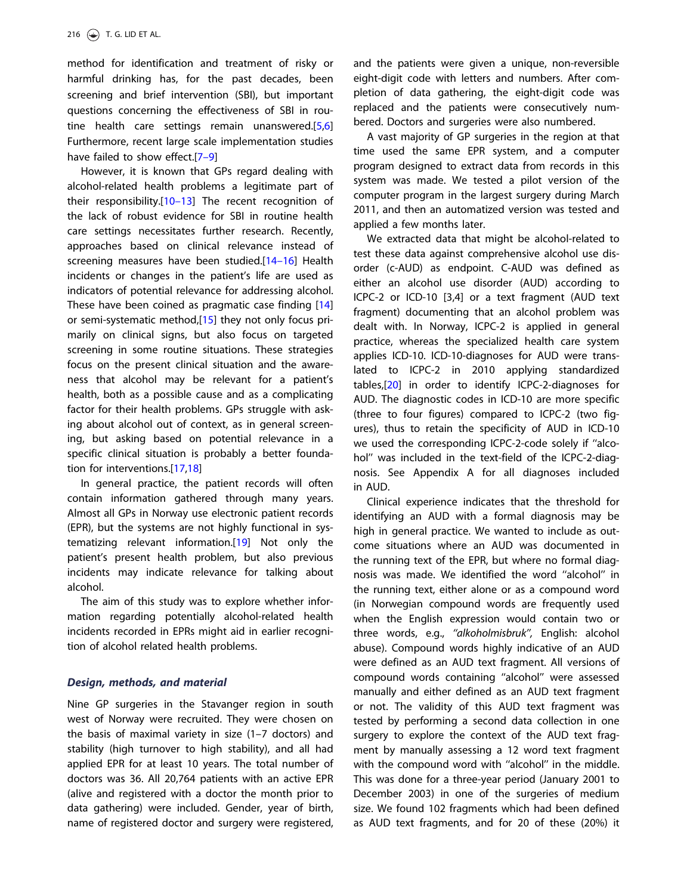<span id="page-1-0"></span>method for identification and treatment of risky or harmful drinking has, for the past decades, been screening and brief intervention (SBI), but important questions concerning the effectiveness of SBI in routine health care settings remain unanswered.[[5,6\]](#page-5-0) Furthermore, recent large scale implementation studies have failed to show effect.[\[7–9](#page-5-0)]

However, it is known that GPs regard dealing with alcohol-related health problems a legitimate part of their responsibility.[\[10–13\]](#page-5-0) The recent recognition of the lack of robust evidence for SBI in routine health care settings necessitates further research. Recently, approaches based on clinical relevance instead of screening measures have been studied.[14-16] Health incidents or changes in the patient's life are used as indicators of potential relevance for addressing alcohol. These have been coined as pragmatic case finding [[14\]](#page-6-0) or semi-systematic method,[\[15\]](#page-6-0) they not only focus primarily on clinical signs, but also focus on targeted screening in some routine situations. These strategies focus on the present clinical situation and the awareness that alcohol may be relevant for a patient's health, both as a possible cause and as a complicating factor for their health problems. GPs struggle with asking about alcohol out of context, as in general screening, but asking based on potential relevance in a specific clinical situation is probably a better foundation for interventions.[[17,18](#page-6-0)]

In general practice, the patient records will often contain information gathered through many years. Almost all GPs in Norway use electronic patient records (EPR), but the systems are not highly functional in systematizing relevant information.[\[19\]](#page-6-0) Not only the patient's present health problem, but also previous incidents may indicate relevance for talking about alcohol.

The aim of this study was to explore whether information regarding potentially alcohol-related health incidents recorded in EPRs might aid in earlier recognition of alcohol related health problems.

#### Design, methods, and material

Nine GP surgeries in the Stavanger region in south west of Norway were recruited. They were chosen on the basis of maximal variety in size (1–7 doctors) and stability (high turnover to high stability), and all had applied EPR for at least 10 years. The total number of doctors was 36. All 20,764 patients with an active EPR (alive and registered with a doctor the month prior to data gathering) were included. Gender, year of birth, name of registered doctor and surgery were registered,

and the patients were given a unique, non-reversible eight-digit code with letters and numbers. After completion of data gathering, the eight-digit code was replaced and the patients were consecutively numbered. Doctors and surgeries were also numbered.

A vast majority of GP surgeries in the region at that time used the same EPR system, and a computer program designed to extract data from records in this system was made. We tested a pilot version of the computer program in the largest surgery during March 2011, and then an automatized version was tested and applied a few months later.

We extracted data that might be alcohol-related to test these data against comprehensive alcohol use disorder (c-AUD) as endpoint. C-AUD was defined as either an alcohol use disorder (AUD) according to ICPC-2 or ICD-10 [3,4] or a text fragment (AUD text fragment) documenting that an alcohol problem was dealt with. In Norway, ICPC-2 is applied in general practice, whereas the specialized health care system applies ICD-10. ICD-10-diagnoses for AUD were translated to ICPC-2 in 2010 applying standardized tables,[\[20\]](#page-6-0) in order to identify ICPC-2-diagnoses for AUD. The diagnostic codes in ICD-10 are more specific (three to four figures) compared to ICPC-2 (two figures), thus to retain the specificity of AUD in ICD-10 we used the corresponding ICPC-2-code solely if ''alcohol'' was included in the text-field of the ICPC-2-diagnosis. See Appendix A for all diagnoses included in AUD.

Clinical experience indicates that the threshold for identifying an AUD with a formal diagnosis may be high in general practice. We wanted to include as outcome situations where an AUD was documented in the running text of the EPR, but where no formal diagnosis was made. We identified the word ''alcohol'' in the running text, either alone or as a compound word (in Norwegian compound words are frequently used when the English expression would contain two or three words, e.g., ''alkoholmisbruk'', English: alcohol abuse). Compound words highly indicative of an AUD were defined as an AUD text fragment. All versions of compound words containing ''alcohol'' were assessed manually and either defined as an AUD text fragment or not. The validity of this AUD text fragment was tested by performing a second data collection in one surgery to explore the context of the AUD text fragment by manually assessing a 12 word text fragment with the compound word with "alcohol" in the middle. This was done for a three-year period (January 2001 to December 2003) in one of the surgeries of medium size. We found 102 fragments which had been defined as AUD text fragments, and for 20 of these (20%) it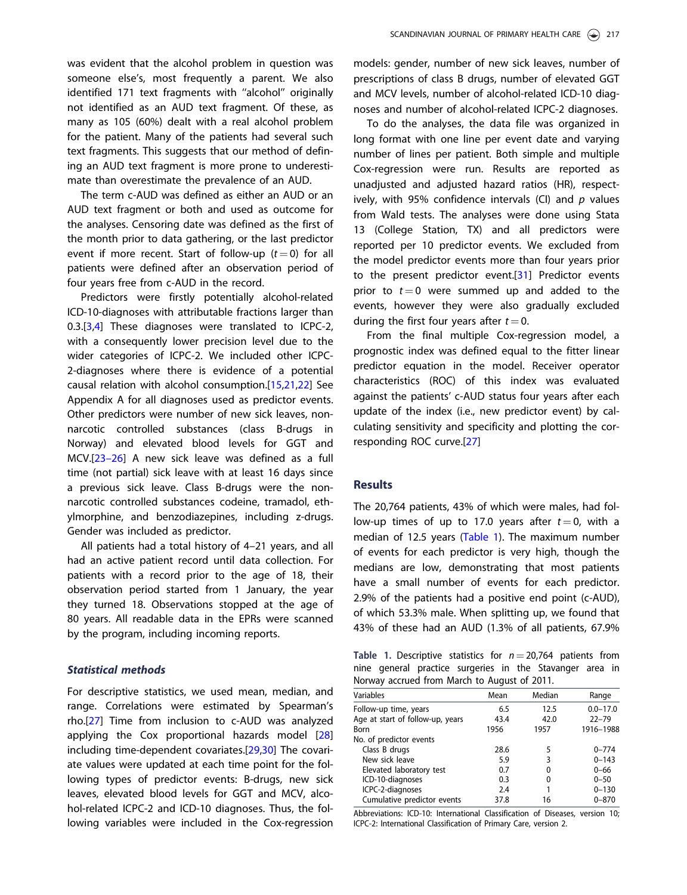<span id="page-2-0"></span>was evident that the alcohol problem in question was someone else's, most frequently a parent. We also identified 171 text fragments with ''alcohol'' originally not identified as an AUD text fragment. Of these, as many as 105 (60%) dealt with a real alcohol problem for the patient. Many of the patients had several such text fragments. This suggests that our method of defining an AUD text fragment is more prone to underestimate than overestimate the prevalence of an AUD.

The term c-AUD was defined as either an AUD or an AUD text fragment or both and used as outcome for the analyses. Censoring date was defined as the first of the month prior to data gathering, or the last predictor event if more recent. Start of follow-up  $(t = 0)$  for all patients were defined after an observation period of four years free from c-AUD in the record.

Predictors were firstly potentially alcohol-related ICD-10-diagnoses with attributable fractions larger than 0.3.[[3,4\]](#page-5-0) These diagnoses were translated to ICPC-2, with a consequently lower precision level due to the wider categories of ICPC-2. We included other ICPC-2-diagnoses where there is evidence of a potential causal relation with alcohol consumption.[[15,21,22](#page-6-0)] See Appendix A for all diagnoses used as predictor events. Other predictors were number of new sick leaves, nonnarcotic controlled substances (class B-drugs in Norway) and elevated blood levels for GGT and MCV.[[23–26](#page-6-0)] A new sick leave was defined as a full time (not partial) sick leave with at least 16 days since a previous sick leave. Class B-drugs were the nonnarcotic controlled substances codeine, tramadol, ethylmorphine, and benzodiazepines, including z-drugs. Gender was included as predictor.

All patients had a total history of 4–21 years, and all had an active patient record until data collection. For patients with a record prior to the age of 18, their observation period started from 1 January, the year they turned 18. Observations stopped at the age of 80 years. All readable data in the EPRs were scanned by the program, including incoming reports.

#### Statistical methods

For descriptive statistics, we used mean, median, and range. Correlations were estimated by Spearman's rho.[[27\]](#page-6-0) Time from inclusion to c-AUD was analyzed applying the Cox proportional hazards model [[28\]](#page-6-0) including time-dependent covariates.[\[29,30\]](#page-6-0) The covariate values were updated at each time point for the following types of predictor events: B-drugs, new sick leaves, elevated blood levels for GGT and MCV, alcohol-related ICPC-2 and ICD-10 diagnoses. Thus, the following variables were included in the Cox-regression models: gender, number of new sick leaves, number of prescriptions of class B drugs, number of elevated GGT and MCV levels, number of alcohol-related ICD-10 diagnoses and number of alcohol-related ICPC-2 diagnoses.

To do the analyses, the data file was organized in long format with one line per event date and varying number of lines per patient. Both simple and multiple Cox-regression were run. Results are reported as unadjusted and adjusted hazard ratios (HR), respectively, with 95% confidence intervals (CI) and  $p$  values from Wald tests. The analyses were done using Stata 13 (College Station, TX) and all predictors were reported per 10 predictor events. We excluded from the model predictor events more than four years prior to the present predictor event.[[31](#page-6-0)] Predictor events prior to  $t = 0$  were summed up and added to the events, however they were also gradually excluded during the first four years after  $t = 0$ .

From the final multiple Cox-regression model, a prognostic index was defined equal to the fitter linear predictor equation in the model. Receiver operator characteristics (ROC) of this index was evaluated against the patients' c-AUD status four years after each update of the index (i.e., new predictor event) by calculating sensitivity and specificity and plotting the corresponding ROC curve.[[27\]](#page-6-0)

#### **Results**

The 20,764 patients, 43% of which were males, had follow-up times of up to 17.0 years after  $t = 0$ , with a median of 12.5 years (Table 1). The maximum number of events for each predictor is very high, though the medians are low, demonstrating that most patients have a small number of events for each predictor. 2.9% of the patients had a positive end point (c-AUD), of which 53.3% male. When splitting up, we found that 43% of these had an AUD (1.3% of all patients, 67.9%

Table 1. Descriptive statistics for  $n = 20,764$  patients from nine general practice surgeries in the Stavanger area in Norway accrued from March to August of 2011.

| Variables                        | Mean | Median | Range        |
|----------------------------------|------|--------|--------------|
| Follow-up time, years            | 6.5  | 12.5   | $0.0 - 17.0$ |
| Age at start of follow-up, years | 43.4 | 42.0   | $22 - 79$    |
| <b>Born</b>                      | 1956 | 1957   | 1916-1988    |
| No. of predictor events          |      |        |              |
| Class B drugs                    | 28.6 | 5      | $0 - 774$    |
| New sick leave                   | 5.9  | 3      | $0 - 143$    |
| Elevated laboratory test         | 0.7  | 0      | $0 - 66$     |
| ICD-10-diagnoses                 | 0.3  | 0      | $0 - 50$     |
| ICPC-2-diagnoses                 | 2.4  |        | $0 - 130$    |
| Cumulative predictor events      | 37.8 | 16     | $0 - 870$    |
|                                  |      |        |              |

Abbreviations: ICD-10: International Classification of Diseases, version 10; ICPC-2: International Classification of Primary Care, version 2.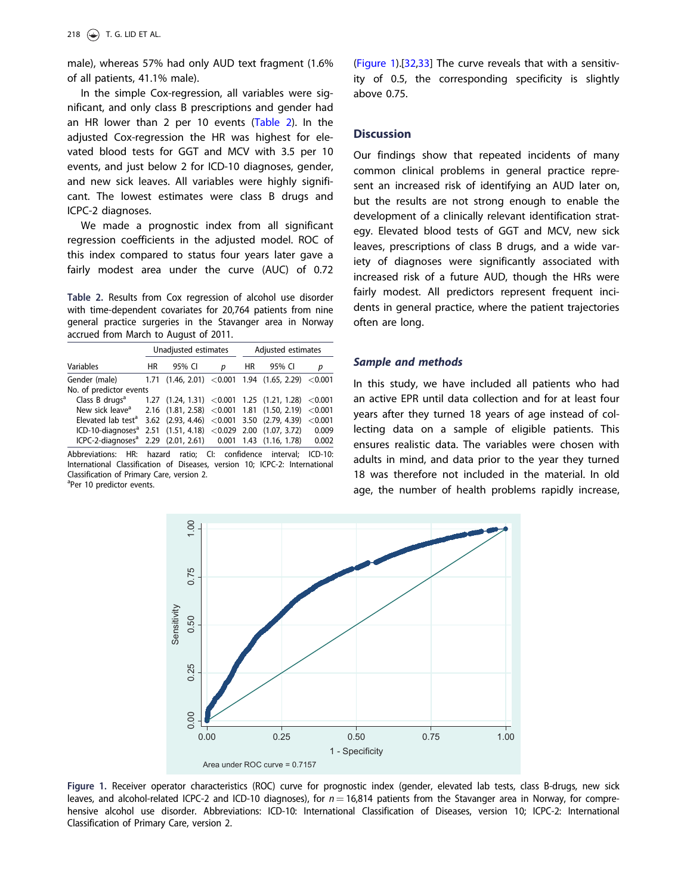<span id="page-3-0"></span>male), whereas 57% had only AUD text fragment (1.6% of all patients, 41.1% male).

In the simple Cox-regression, all variables were significant, and only class B prescriptions and gender had an HR lower than 2 per 10 events (Table 2). In the adjusted Cox-regression the HR was highest for elevated blood tests for GGT and MCV with 3.5 per 10 events, and just below 2 for ICD-10 diagnoses, gender, and new sick leaves. All variables were highly significant. The lowest estimates were class B drugs and ICPC-2 diagnoses.

We made a prognostic index from all significant regression coefficients in the adjusted model. ROC of this index compared to status four years later gave a fairly modest area under the curve (AUC) of 0.72

Table 2. Results from Cox regression of alcohol use disorder with time-dependent covariates for 20,764 patients from nine general practice surgeries in the Stavanger area in Norway accrued from March to August of 2011.

|                                                                           | Unadjusted estimates |                                     |   | Adjusted estimates |                                                       |         |
|---------------------------------------------------------------------------|----------------------|-------------------------------------|---|--------------------|-------------------------------------------------------|---------|
| Variables                                                                 | HR.                  | 95% CI                              | р | HR.                | 95% CI                                                | р       |
| Gender (male)                                                             |                      |                                     |   |                    | $1.71$ $(1.46, 2.01)$ $< 0.001$ $1.94$ $(1.65, 2.29)$ | < 0.001 |
| No. of predictor events                                                   |                      |                                     |   |                    |                                                       |         |
| Class B drugs <sup>a</sup>                                                |                      |                                     |   |                    | $1.27$ (1.24, 1.31) < 0.001 1.25 (1.21, 1.28) < 0.001 |         |
| New sick leave <sup>a</sup> 2.16 (1.81, 2.58) < 0.001 1.81 (1.50, 2.19)   |                      |                                     |   |                    |                                                       | < 0.001 |
| Elevated lab test <sup>a</sup>                                            |                      |                                     |   |                    | $3.62$ $(2.93, 4.46)$ $< 0.001$ $3.50$ $(2.79, 4.39)$ | < 0.001 |
| ICD-10-diagnoses <sup>a</sup> 2.51 (1.51, 4.18) < 0.029 2.00 (1.07, 3.72) |                      |                                     |   |                    |                                                       | 0.009   |
| ICPC-2-diagnoses <sup>a</sup> 2.29 (2.01, 2.61) 0.001 1.43 (1.16, 1.78)   |                      |                                     |   |                    |                                                       | 0.002   |
| .                                                                         |                      | $\cdots$ $\cdots$ $\cdots$ $\cdots$ |   | $\sim$ $\sim$      | .                                                     | $-22$   |

Abbreviations: HR: hazard ratio; CI: confidence interval; ICD-10: International Classification of Diseases, version 10; ICPC-2: International Classification of Primary Care, version 2.

<sup>a</sup>Per 10 predictor events.

(Figure 1).[[32,33](#page-6-0)] The curve reveals that with a sensitivity of 0.5, the corresponding specificity is slightly above 0.75.

#### **Discussion**

Our findings show that repeated incidents of many common clinical problems in general practice represent an increased risk of identifying an AUD later on, but the results are not strong enough to enable the development of a clinically relevant identification strategy. Elevated blood tests of GGT and MCV, new sick leaves, prescriptions of class B drugs, and a wide variety of diagnoses were significantly associated with increased risk of a future AUD, though the HRs were fairly modest. All predictors represent frequent incidents in general practice, where the patient trajectories often are long.

#### Sample and methods

In this study, we have included all patients who had an active EPR until data collection and for at least four years after they turned 18 years of age instead of collecting data on a sample of eligible patients. This ensures realistic data. The variables were chosen with adults in mind, and data prior to the year they turned 18 was therefore not included in the material. In old age, the number of health problems rapidly increase,



Figure 1. Receiver operator characteristics (ROC) curve for prognostic index (gender, elevated lab tests, class B-drugs, new sick leaves, and alcohol-related ICPC-2 and ICD-10 diagnoses), for  $n = 16,814$  patients from the Stavanger area in Norway, for comprehensive alcohol use disorder. Abbreviations: ICD-10: International Classification of Diseases, version 10; ICPC-2: International Classification of Primary Care, version 2.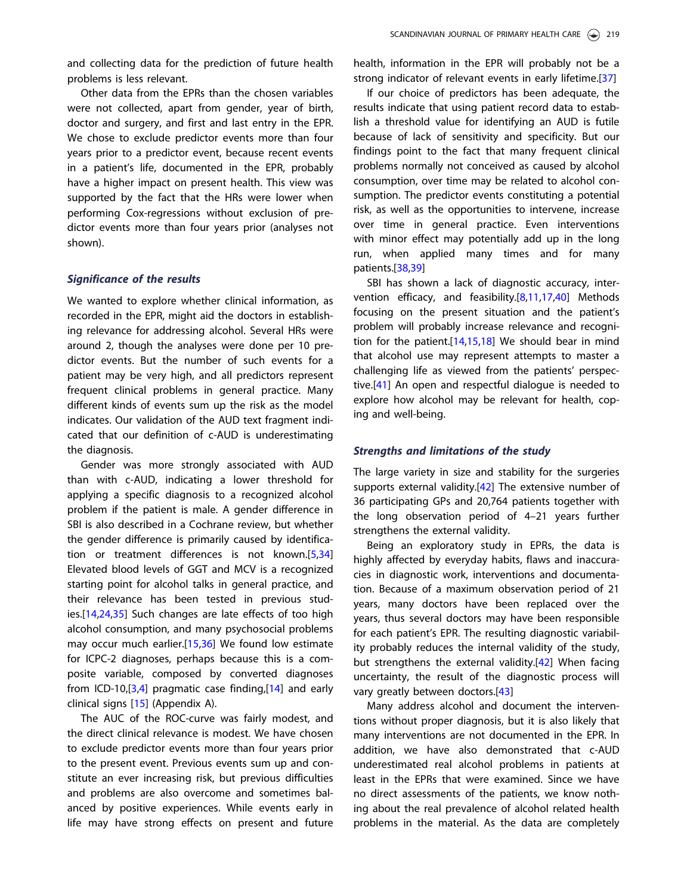<span id="page-4-0"></span>and collecting data for the prediction of future health problems is less relevant.

Other data from the EPRs than the chosen variables were not collected, apart from gender, year of birth, doctor and surgery, and first and last entry in the EPR. We chose to exclude predictor events more than four years prior to a predictor event, because recent events in a patient's life, documented in the EPR, probably have a higher impact on present health. This view was supported by the fact that the HRs were lower when performing Cox-regressions without exclusion of predictor events more than four years prior (analyses not shown).

#### Significance of the results

We wanted to explore whether clinical information, as recorded in the EPR, might aid the doctors in establishing relevance for addressing alcohol. Several HRs were around 2, though the analyses were done per 10 predictor events. But the number of such events for a patient may be very high, and all predictors represent frequent clinical problems in general practice. Many different kinds of events sum up the risk as the model indicates. Our validation of the AUD text fragment indicated that our definition of c-AUD is underestimating the diagnosis.

Gender was more strongly associated with AUD than with c-AUD, indicating a lower threshold for applying a specific diagnosis to a recognized alcohol problem if the patient is male. A gender difference in SBI is also described in a Cochrane review, but whether the gender difference is primarily caused by identification or treatment differences is not known.[[5,](#page-5-0)[34\]](#page-6-0) Elevated blood levels of GGT and MCV is a recognized starting point for alcohol talks in general practice, and their relevance has been tested in previous studies.[[14](#page-6-0),[24,35](#page-6-0)] Such changes are late effects of too high alcohol consumption, and many psychosocial problems may occur much earlier.[\[15,36\]](#page-6-0) We found low estimate for ICPC-2 diagnoses, perhaps because this is a composite variable, composed by converted diagnoses from ICD-10,[\[3,4\]](#page-5-0) pragmatic case finding,[[14\]](#page-6-0) and early clinical signs [[15](#page-6-0)] (Appendix A).

The AUC of the ROC-curve was fairly modest, and the direct clinical relevance is modest. We have chosen to exclude predictor events more than four years prior to the present event. Previous events sum up and constitute an ever increasing risk, but previous difficulties and problems are also overcome and sometimes balanced by positive experiences. While events early in life may have strong effects on present and future

health, information in the EPR will probably not be a strong indicator of relevant events in early lifetime.[[37](#page-6-0)]

If our choice of predictors has been adequate, the results indicate that using patient record data to establish a threshold value for identifying an AUD is futile because of lack of sensitivity and specificity. But our findings point to the fact that many frequent clinical problems normally not conceived as caused by alcohol consumption, over time may be related to alcohol consumption. The predictor events constituting a potential risk, as well as the opportunities to intervene, increase over time in general practice. Even interventions with minor effect may potentially add up in the long run, when applied many times and for many patients.[\[38,39](#page-6-0)]

SBI has shown a lack of diagnostic accuracy, intervention efficacy, and feasibility.[\[8,11](#page-5-0)[,17,40\]](#page-6-0) Methods focusing on the present situation and the patient's problem will probably increase relevance and recognition for the patient.[\[14,15,18\]](#page-6-0) We should bear in mind that alcohol use may represent attempts to master a challenging life as viewed from the patients' perspective.[[41\]](#page-6-0) An open and respectful dialogue is needed to explore how alcohol may be relevant for health, coping and well-being.

#### Strengths and limitations of the study

The large variety in size and stability for the surgeries supports external validity.[[42\]](#page-6-0) The extensive number of 36 participating GPs and 20,764 patients together with the long observation period of 4–21 years further strengthens the external validity.

Being an exploratory study in EPRs, the data is highly affected by everyday habits, flaws and inaccuracies in diagnostic work, interventions and documentation. Because of a maximum observation period of 21 years, many doctors have been replaced over the years, thus several doctors may have been responsible for each patient's EPR. The resulting diagnostic variability probably reduces the internal validity of the study, but strengthens the external validity.[[42\]](#page-6-0) When facing uncertainty, the result of the diagnostic process will vary greatly between doctors.[\[43\]](#page-6-0)

Many address alcohol and document the interventions without proper diagnosis, but it is also likely that many interventions are not documented in the EPR. In addition, we have also demonstrated that c-AUD underestimated real alcohol problems in patients at least in the EPRs that were examined. Since we have no direct assessments of the patients, we know nothing about the real prevalence of alcohol related health problems in the material. As the data are completely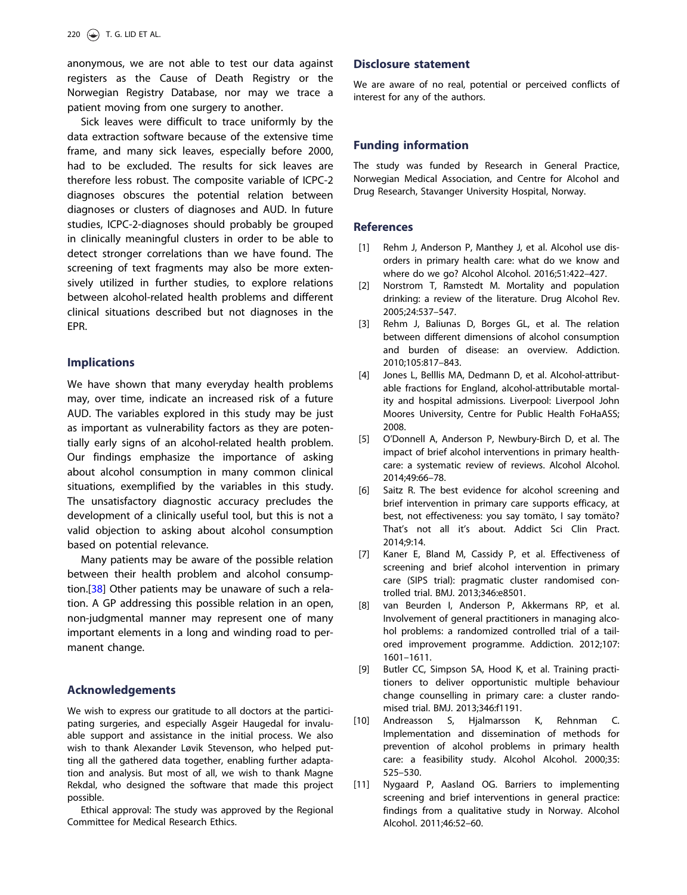<span id="page-5-0"></span>anonymous, we are not able to test our data against registers as the Cause of Death Registry or the Norwegian Registry Database, nor may we trace a patient moving from one surgery to another.

Sick leaves were difficult to trace uniformly by the data extraction software because of the extensive time frame, and many sick leaves, especially before 2000, had to be excluded. The results for sick leaves are therefore less robust. The composite variable of ICPC-2 diagnoses obscures the potential relation between diagnoses or clusters of diagnoses and AUD. In future studies, ICPC-2-diagnoses should probably be grouped in clinically meaningful clusters in order to be able to detect stronger correlations than we have found. The screening of text fragments may also be more extensively utilized in further studies, to explore relations between alcohol-related health problems and different clinical situations described but not diagnoses in the EPR.

### Implications

We have shown that many everyday health problems may, over time, indicate an increased risk of a future AUD. The variables explored in this study may be just as important as vulnerability factors as they are potentially early signs of an alcohol-related health problem. Our findings emphasize the importance of asking about alcohol consumption in many common clinical situations, exemplified by the variables in this study. The unsatisfactory diagnostic accuracy precludes the development of a clinically useful tool, but this is not a valid objection to asking about alcohol consumption based on potential relevance.

Many patients may be aware of the possible relation between their health problem and alcohol consump-tion.[[38](#page-6-0)] Other patients may be unaware of such a relation. A GP addressing this possible relation in an open, non-judgmental manner may represent one of many important elements in a long and winding road to permanent change.

#### Acknowledgements

We wish to express our gratitude to all doctors at the participating surgeries, and especially Asgeir Haugedal for invaluable support and assistance in the initial process. We also wish to thank Alexander Løvik Stevenson, who helped putting all the gathered data together, enabling further adaptation and analysis. But most of all, we wish to thank Magne Rekdal, who designed the software that made this project possible.

Ethical approval: The study was approved by the Regional Committee for Medical Research Ethics.

### Disclosure statement

We are aware of no real, potential or perceived conflicts of interest for any of the authors.

### Funding information

The study was funded by Research in General Practice, Norwegian Medical Association, and Centre for Alcohol and Drug Research, Stavanger University Hospital, Norway.

### **References**

- [\[1\]](#page-0-0) Rehm J, Anderson P, Manthey J, et al. Alcohol use disorders in primary health care: what do we know and where do we go? Alcohol Alcohol. 2016;51:422–427.
- [\[2\]](#page-0-0) Norstrom T, Ramstedt M. Mortality and population drinking: a review of the literature. Drug Alcohol Rev. 2005;24:537–547.
- [\[3\]](#page-2-0) Rehm J, Baliunas D, Borges GL, et al. The relation between different dimensions of alcohol consumption and burden of disease: an overview. Addiction. 2010;105:817–843.
- [\[4\]](#page-2-0) Jones L, Belllis MA, Dedmann D, et al. Alcohol-attributable fractions for England, alcohol-attributable mortality and hospital admissions. Liverpool: Liverpool John Moores University, Centre for Public Health FoHaASS; 2008.
- [\[5\]](#page-1-0) O'Donnell A, Anderson P, Newbury-Birch D, et al. The impact of brief alcohol interventions in primary healthcare: a systematic review of reviews. Alcohol Alcohol. 2014;49:66–78.
- [\[6\]](#page-1-0) Saitz R. The best evidence for alcohol screening and brief intervention in primary care supports efficacy, at best, not effectiveness: you say tomāto, I say tomăto? That's not all it's about. Addict Sci Clin Pract. 2014;9:14.
- [\[7\]](#page-1-0) Kaner E, Bland M, Cassidy P, et al. Effectiveness of screening and brief alcohol intervention in primary care (SIPS trial): pragmatic cluster randomised controlled trial. BMJ. 2013;346:e8501.
- [\[8\]](#page-4-0) van Beurden I, Anderson P, Akkermans RP, et al. Involvement of general practitioners in managing alcohol problems: a randomized controlled trial of a tailored improvement programme. Addiction. 2012;107: 1601–1611.
- [9] Butler CC, Simpson SA, Hood K, et al. Training practitioners to deliver opportunistic multiple behaviour change counselling in primary care: a cluster randomised trial. BMJ. 2013;346:f1191.
- [\[10\]](#page-1-0) Andreasson S, Hjalmarsson K, Rehnman C. Implementation and dissemination of methods for prevention of alcohol problems in primary health care: a feasibility study. Alcohol Alcohol. 2000;35: 525–530.
- [\[11\]](#page-4-0) Nygaard P, Aasland OG. Barriers to implementing screening and brief interventions in general practice: findings from a qualitative study in Norway. Alcohol Alcohol. 2011;46:52–60.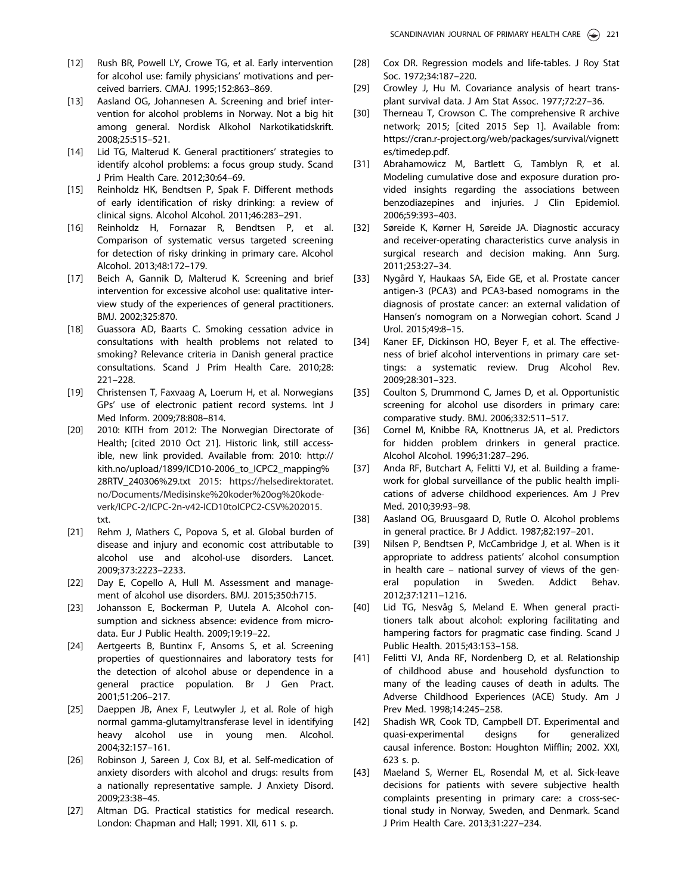- <span id="page-6-0"></span>[12] Rush BR, Powell LY, Crowe TG, et al. Early intervention for alcohol use: family physicians' motivations and perceived barriers. CMAJ. 1995;152:863–869.
- [13] Aasland OG, Johannesen A. Screening and brief intervention for alcohol problems in Norway. Not a big hit among general. Nordisk Alkohol Narkotikatidskrift. 2008;25:515–521.
- [\[14\]](#page-1-0) Lid TG, Malterud K. General practitioners' strategies to identify alcohol problems: a focus group study. Scand J Prim Health Care. 2012;30:64–69.
- [\[15\]](#page-1-0) Reinholdz HK, Bendtsen P, Spak F. Different methods of early identification of risky drinking: a review of clinical signs. Alcohol Alcohol. 2011;46:283–291.
- [16] Reinholdz H, Fornazar R, Bendtsen P, et al. Comparison of systematic versus targeted screening for detection of risky drinking in primary care. Alcohol Alcohol. 2013;48:172–179.
- [\[17\]](#page-1-0) Beich A, Gannik D, Malterud K. Screening and brief intervention for excessive alcohol use: qualitative interview study of the experiences of general practitioners. BMJ. 2002;325:870.
- [\[18\]](#page-1-0) Guassora AD, Baarts C. Smoking cessation advice in consultations with health problems not related to smoking? Relevance criteria in Danish general practice consultations. Scand J Prim Health Care. 2010;28: 221–228.
- [\[19\]](#page-1-0) Christensen T, Faxvaag A, Loerum H, et al. Norwegians GPs' use of electronic patient record systems. Int J Med Inform. 2009;78:808–814.
- [\[20\]](#page-1-0) 2010: KITH from 2012: The Norwegian Directorate of Health; [cited 2010 Oct 21]. Historic link, still accessible, new link provided. Available from: 2010: [http://](http://kith.no/upload/1899/ICD10-2006_to_ICPC2_mapping%28RTV_240306%29.txt) [kith.no/upload/1899/ICD10-2006\\_to\\_ICPC2\\_mapping](http://kith.no/upload/1899/ICD10-2006_to_ICPC2_mapping%28RTV_240306%29.txt)% [28RTV\\_240306%29.txt](http://kith.no/upload/1899/ICD10-2006_to_ICPC2_mapping%28RTV_240306%29.txt) 2015: [https://helsedirektoratet.](https://helsedirektoratet.no/Documents/Medisinske%20koder%20og%20kodeverk/ICPC-2/ICPC-2n-v42-ICD10toICPC2-CSV%202015.txt) [no/Documents/Medisinske](https://helsedirektoratet.no/Documents/Medisinske%20koder%20og%20kodeverk/ICPC-2/ICPC-2n-v42-ICD10toICPC2-CSV%202015.txt)%[20koder%20og%20kode](https://helsedirektoratet.no/Documents/Medisinske%20koder%20og%20kodeverk/ICPC-2/ICPC-2n-v42-ICD10toICPC2-CSV%202015.txt)[verk/ICPC-2/ICPC-2n-v42-ICD10toICPC2-CSV%202015.](https://helsedirektoratet.no/Documents/Medisinske%20koder%20og%20kodeverk/ICPC-2/ICPC-2n-v42-ICD10toICPC2-CSV%202015.txt) [txt](https://helsedirektoratet.no/Documents/Medisinske%20koder%20og%20kodeverk/ICPC-2/ICPC-2n-v42-ICD10toICPC2-CSV%202015.txt).
- [\[21\]](#page-2-0) Rehm J, Mathers C, Popova S, et al. Global burden of disease and injury and economic cost attributable to alcohol use and alcohol-use disorders. Lancet. 2009;373:2223–2233.
- [\[22\]](#page-2-0) Day E, Copello A, Hull M. Assessment and management of alcohol use disorders. BMJ. 2015;350:h715.
- [\[23\]](#page-2-0) Johansson E, Bockerman P, Uutela A. Alcohol consumption and sickness absence: evidence from microdata. Eur J Public Health. 2009;19:19–22.
- [\[24\]](#page-4-0) Aertgeerts B, Buntinx F, Ansoms S, et al. Screening properties of questionnaires and laboratory tests for the detection of alcohol abuse or dependence in a general practice population. Br J Gen Pract. 2001;51:206–217.
- [25] Daeppen JB, Anex F, Leutwyler J, et al. Role of high normal gamma-glutamyltransferase level in identifying heavy alcohol use in young men. Alcohol. 2004;32:157–161.
- [26] Robinson J, Sareen J, Cox BJ, et al. Self-medication of anxiety disorders with alcohol and drugs: results from a nationally representative sample. J Anxiety Disord. 2009;23:38–45.
- [\[27\]](#page-2-0) Altman DG. Practical statistics for medical research. London: Chapman and Hall; 1991. XII, 611 s. p.
- [\[28\]](#page-2-0) Cox DR. Regression models and life-tables. J Roy Stat Soc. 1972;34:187–220.
- [\[29\]](#page-2-0) Crowley J, Hu M. Covariance analysis of heart transplant survival data. J Am Stat Assoc. 1977;72:27–36.
- [\[30\]](#page-2-0) Therneau T, Crowson C. The comprehensive R archive network; 2015; [cited 2015 Sep 1]. Available from: [https://cran.r-project.org/web/packages/survival/vignett](https://cran.r-project.org/web/packages/survival/vignettes/timedep.pdf) [es/timedep.pdf](https://cran.r-project.org/web/packages/survival/vignettes/timedep.pdf).
- [\[31\]](#page-2-0) Abrahamowicz M, Bartlett G, Tamblyn R, et al. Modeling cumulative dose and exposure duration provided insights regarding the associations between benzodiazepines and injuries. J Clin Epidemiol. 2006;59:393–403.
- [\[32\]](#page-3-0) Søreide K, Kørner H, Søreide JA. Diagnostic accuracy and receiver-operating characteristics curve analysis in surgical research and decision making. Ann Surg. 2011;253:27–34.
- [\[33\]](#page-3-0) Nygård Y, Haukaas SA, Eide GE, et al. Prostate cancer antigen-3 (PCA3) and PCA3-based nomograms in the diagnosis of prostate cancer: an external validation of Hansen's nomogram on a Norwegian cohort. Scand J Urol. 2015;49:8–15.
- [\[34\]](#page-4-0) Kaner EF, Dickinson HO, Beyer F, et al. The effectiveness of brief alcohol interventions in primary care settings: a systematic review. Drug Alcohol Rev. 2009;28:301–323.
- [\[35\]](#page-4-0) Coulton S, Drummond C, James D, et al. Opportunistic screening for alcohol use disorders in primary care: comparative study. BMJ. 2006;332:511–517.
- [\[36\]](#page-4-0) Cornel M, Knibbe RA, Knottnerus JA, et al. Predictors for hidden problem drinkers in general practice. Alcohol Alcohol. 1996;31:287–296.
- [\[37\]](#page-4-0) Anda RF, Butchart A, Felitti VJ, et al. Building a framework for global surveillance of the public health implications of adverse childhood experiences. Am J Prev Med. 2010;39:93–98.
- [\[38\]](#page-4-0) Aasland OG, Bruusgaard D, Rutle O. Alcohol problems in general practice. Br J Addict. 1987;82:197–201.
- [\[39\]](#page-4-0) Nilsen P, Bendtsen P, McCambridge J, et al. When is it appropriate to address patients' alcohol consumption in health care – national survey of views of the general population in Sweden. Addict Behav. 2012;37:1211–1216.
- [\[40\]](#page-4-0) Lid TG, Nesvåg S, Meland E. When general practitioners talk about alcohol: exploring facilitating and hampering factors for pragmatic case finding. Scand J Public Health. 2015;43:153–158.
- [\[41\]](#page-4-0) Felitti VJ, Anda RF, Nordenberg D, et al. Relationship of childhood abuse and household dysfunction to many of the leading causes of death in adults. The Adverse Childhood Experiences (ACE) Study. Am J Prev Med. 1998;14:245–258.
- [\[42\]](#page-4-0) Shadish WR, Cook TD, Campbell DT. Experimental and quasi-experimental designs for generalized causal inference. Boston: Houghton Mifflin; 2002. XXI, 623 s. p.
- [\[43\]](#page-4-0) Maeland S, Werner EL, Rosendal M, et al. Sick-leave decisions for patients with severe subjective health complaints presenting in primary care: a cross-sectional study in Norway, Sweden, and Denmark. Scand J Prim Health Care. 2013;31:227–234.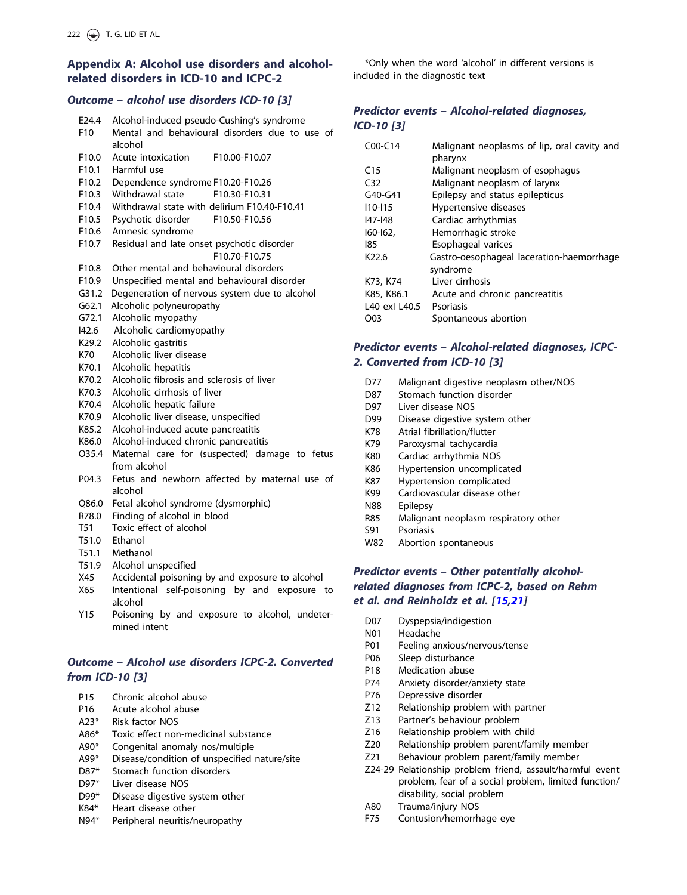# Appendix A: Alcohol use disorders and alcoholrelated disorders in ICD-10 and ICPC-2

### Outcome – alcohol use disorders ICD-10 [3]

| E24.4<br>F <sub>10</sub> | Alcohol-induced pseudo-Cushing's syndrome<br>Mental and behavioural disorders due to use of<br>alcohol |
|--------------------------|--------------------------------------------------------------------------------------------------------|
| F <sub>10.0</sub>        | Acute intoxication<br>F10.00-F10.07                                                                    |
| F10.1                    | Harmful use                                                                                            |
| F <sub>10.2</sub>        |                                                                                                        |
| F <sub>10.3</sub>        | Dependence syndrome F10.20-F10.26<br>Withdrawal state<br>F10.30-F10.31                                 |
|                          | Withdrawal state with delirium F10.40-F10.41                                                           |
| F <sub>10.4</sub>        |                                                                                                        |
| F10.5                    | Psychotic disorder<br>F10.50-F10.56                                                                    |
| F10.6                    | Amnesic syndrome                                                                                       |
| F10.7                    | Residual and late onset psychotic disorder                                                             |
|                          | F10.70-F10.75                                                                                          |
| F10.8                    | Other mental and behavioural disorders                                                                 |
| F <sub>10.9</sub>        | Unspecified mental and behavioural disorder                                                            |
| G31.2                    | Degeneration of nervous system due to alcohol                                                          |
| G62.1                    | Alcoholic polyneuropathy                                                                               |
| G72.1                    | Alcoholic myopathy                                                                                     |
| 142.6                    | Alcoholic cardiomyopathy                                                                               |
| K <sub>29.2</sub>        | Alcoholic gastritis                                                                                    |
| K70                      | Alcoholic liver disease                                                                                |
| K70.1                    | Alcoholic hepatitis                                                                                    |
| K70.2                    | Alcoholic fibrosis and sclerosis of liver                                                              |
| K70.3                    | Alcoholic cirrhosis of liver                                                                           |
| K70.4                    | Alcoholic hepatic failure                                                                              |
| K70.9                    | Alcoholic liver disease, unspecified                                                                   |
| K85.2                    | Alcohol-induced acute pancreatitis                                                                     |
| K86.0                    | Alcohol-induced chronic pancreatitis                                                                   |
| O35.4                    | Maternal care for (suspected) damage to fetus                                                          |
|                          | from alcohol                                                                                           |
| P04.3                    | Fetus and newborn affected by maternal use of                                                          |
|                          | alcohol                                                                                                |
| Q86.0                    | Fetal alcohol syndrome (dysmorphic)                                                                    |
| R78.0                    | Finding of alcohol in blood                                                                            |
| T <sub>51</sub>          | Toxic effect of alcohol                                                                                |
| T51.0                    |                                                                                                        |
|                          |                                                                                                        |
| T51.1                    | Ethanol<br>Methanol                                                                                    |

- X45 Accidental poisoning by and exposure to alcohol
- X65 Intentional self-poisoning by and exposure to alcohol
- Y15 Poisoning by and exposure to alcohol, undetermined intent

### Outcome – Alcohol use disorders ICPC-2. Converted from ICD-10 [3]

- P15 Chronic alcohol abuse
- P16 Acute alcohol abuse
- A23\* Risk factor NOS
- A86\* Toxic effect non-medicinal substance
- A90\* Congenital anomaly nos/multiple
- A99\* Disease/condition of unspecified nature/site
- D87\* Stomach function disorders
- D97\* Liver disease NOS
- D99\* Disease digestive system other
- K84\* Heart disease other
- N94\* Peripheral neuritis/neuropathy

\*Only when the word 'alcohol' in different versions is included in the diagnostic text

### Predictor events – Alcohol-related diagnoses, ICD-10 [3]

| $COO-C14$         | Malignant neoplasms of lip, oral cavity and |
|-------------------|---------------------------------------------|
|                   | pharynx                                     |
| C <sub>15</sub>   | Malignant neoplasm of esophagus             |
| C <sub>32</sub>   | Malignant neoplasm of larynx                |
| G40-G41           | Epilepsy and status epilepticus             |
| $110 - 115$       | Hypertensive diseases                       |
| <b>I47-148</b>    | Cardiac arrhythmias                         |
| $160 - 162$       | Hemorrhagic stroke                          |
| 185               | Esophageal varices                          |
| K <sub>22.6</sub> | Gastro-oesophageal laceration-haemorrhage   |
|                   | syndrome                                    |
| K73, K74          | Liver cirrhosis                             |
| K85, K86.1        | Acute and chronic pancreatitis              |
| L40 exl L40.5     | Psoriasis                                   |
| O03               | Spontaneous abortion                        |

## Predictor events – Alcohol-related diagnoses, ICPC-2. Converted from ICD-10 [3]

- D77 Malignant digestive neoplasm other/NOS
- D87 Stomach function disorder
- D97 Liver disease NOS
- D99 Disease digestive system other
- K78 Atrial fibrillation/flutter
- K79 Paroxysmal tachycardia
- K80 Cardiac arrhythmia NOS
- K86 Hypertension uncomplicated
- K87 Hypertension complicated
- K99 Cardiovascular disease other
- N88 Epilepsy
- R85 Malignant neoplasm respiratory other
- S91 Psoriasis
- W82 Abortion spontaneous

# Predictor events – Other potentially alcoholrelated diagnoses from ICPC-2, based on Rehm et al. and Reinholdz et al. [[15,21\]](#page-6-0)

- D07 Dyspepsia/indigestion
- N01 Headache
- P01 Feeling anxious/nervous/tense
- P06 Sleep disturbance
- P18 Medication abuse
- P74 Anxiety disorder/anxiety state
- P76 Depressive disorder
- Z12 Relationship problem with partner
- Z13 Partner's behaviour problem
- Z16 Relationship problem with child
- Z20 Relationship problem parent/family member
- Z21 Behaviour problem parent/family member
- Z24-29 Relationship problem friend, assault/harmful event problem, fear of a social problem, limited function/ disability, social problem
- A80 Trauma/injury NOS
- F75 Contusion/hemorrhage eye